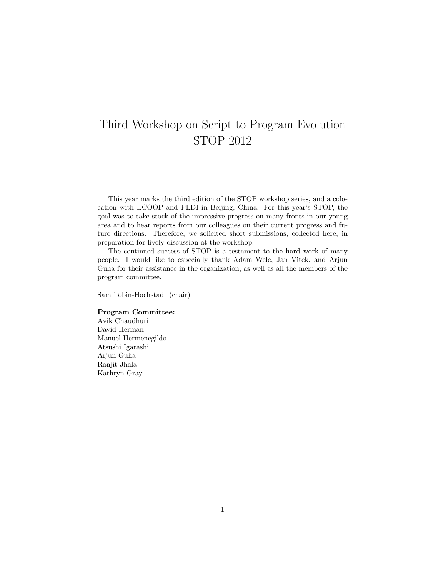# Third Workshop on Script to Program Evolution STOP 2012

This year marks the third edition of the STOP workshop series, and a colocation with ECOOP and PLDI in Beijing, China. For this year's STOP, the goal was to take stock of the impressive progress on many fronts in our young area and to hear reports from our colleagues on their current progress and future directions. Therefore, we solicited short submissions, collected here, in preparation for lively discussion at the workshop.

The continued success of STOP is a testament to the hard work of many people. I would like to especially thank Adam Welc, Jan Vitek, and Arjun Guha for their assistance in the organization, as well as all the members of the program committee.

Sam Tobin-Hochstadt (chair)

## Program Committee:

Avik Chaudhuri David Herman Manuel Hermenegildo Atsushi Igarashi Arjun Guha Ranjit Jhala Kathryn Gray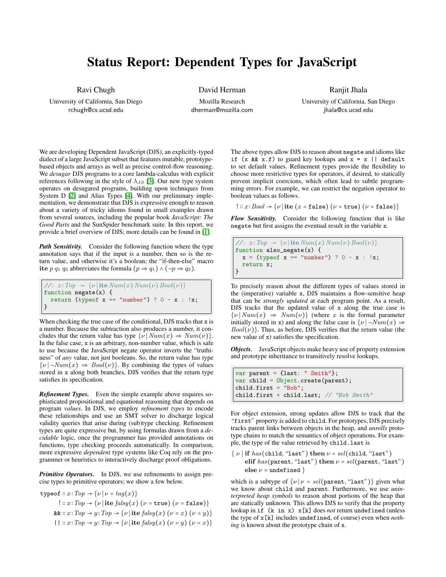## Status Report: Dependent Types for JavaScript

Ravi Chugh

University of California, San Diego rchugh@cs.ucsd.edu

David Herman

Mozilla Research dherman@mozilla.com

<span id="page-1-4"></span>Ranjit Jhala University of California, San Diego jhala@cs.ucsd.edu

We are developing Dependent JavaScript (DJS), an explicitly-typed dialect of a large JavaScript subset that features mutable, prototypebased objects and arrays as well as precise control-flow reasoning. We *desugar* DJS programs to a core lambda-calculus with explicit references following in the style of  $\lambda_{JS}$  [\[3\]](#page-1-0). Our new type system operates on desugared programs, building upon techniques from System D [\[2\]](#page-1-1) and Alias Types [\[4\]](#page-1-2). With our preliminary implementation, we demonstrate that DJS is expressive enough to reason about a variety of tricky idioms found in small examples drawn from several sources, including the popular book *JavaScript: The Good Parts* and the SunSpider benchmark suite. In this report, we provide a brief overview of DJS; more details can be found in [\[1\]](#page-1-3).

*Path Sensitivity.* Consider the following function where the type annotation says that if the input is a number, then so is the return value, and otherwise it's a boolean; the "if-then-else" macro ite p q<sub>1</sub> q<sub>2</sub> abbreviates the formula (p  $\Rightarrow$  q<sub>1</sub>)  $\land$  ( $\neg$   $p \Rightarrow$  q<sub>2</sub>).

```
//: x: Top \rightarrow {\nu | \text{ite } Num(x) Num(\nu) Bool(\nu)}function negate(x) {
  return (typeof x == "number") ? 0 - x : !x;}
```
When checking the true case of the conditional, DJS tracks that x is a number. Because the subtraction also produces a number, it concludes that the return value has type  $\{\nu \mid Num(x) \Rightarrow Num(\nu)\}.$ In the false case, x is an arbitrary, non-number value, which is safe to use because the JavaScript negate operator inverts the "truthiness" of *any* value, not just booleans. So, the return value has type  $\{\nu \mid \neg Num(x) \Rightarrow Bool(\nu)\}\$ . By combining the types of values stored in x along both branches, DJS verifies that the return type satisfies its specification.

*Refinement Types.* Even the simple example above requires sophisticated propositional and equational reasoning that depends on program *values*. In DJS, we employ *refinement types* to encode these relationships and use an SMT solver to discharge logical validity queries that arise during (sub)type checking. Refinement types are quite expressive but, by using formulas drawn from a *decidable* logic, once the programmer has provided annotations on functions, type checking proceeds automatically. In comparison, more expressive *dependent* type systems like Coq rely on the programmer or heuristics to interactively discharge proof obligations.

*Primitive Operators.* In DJS, we use refinements to assign precise types to primitive operators; we show a few below.

typeof ::  $x: Top \rightarrow \{\nu | \nu = tag(x)\}\$  $!:: x: Top \rightarrow \{\nu \mid \text{ite } \text{false}(x) \ (\nu = \text{true}) \ (\nu = \text{false})\}$ &  $:: x: Top \rightarrow y: Top \rightarrow \{\nu \mid \text{ite } falsy(x) \ (\nu = x) \ (\nu = y)\}\$ ||  $:x: Top \rightarrow y: Top \rightarrow \{\nu | \text{ite } \text{false}(x) \ (\nu = y) \ (\nu = x)\}\$  The above types allow DJS to reason about negate and idioms like if  $(x \& x.f)$  to guard key lookups and  $x = x \mid \text{ default}$ to set default values. Refinement types provide the flexibility to choose more restrictive types for operators, if desired, to statically prevent implicit coercions, which often lead to subtle programming errors. For example, we can restrict the negation operator to boolean values as follows.

$$
!:: x:Bool \rightarrow \{\nu \mid \text{ite } (x \in \text{false}) \ (\nu = \text{true}) \ (\nu = \text{false})\}
$$

*Flow Sensitivity.* Consider the following function that is like negate but first assigns the eventual result in the variable x.

//:  $x: Top \rightarrow \{\nu | \text{ite Num}(x) Num(\nu) Bool(\nu)\}\$ function also\_negate(x) {  $x = (typeof x == "number") ? 0 - x : !x;$ return x; }

<span id="page-1-15"></span><span id="page-1-10"></span>To precisely reason about the different types of values stored in the (imperative) variable x, DJS maintains a flow-sensitive heap that can be *strongly updated* at each program point. As a result, DJS tracks that the updated value of x along the true case is  $\{\nu \mid Num(x) \Rightarrow Num(\nu)\}\$  (where x is the formal parameter initially stored in x) and along the false case is  $\{\nu \mid \neg Num(x) \Rightarrow \varnothing\}$  $Bool(\nu)$ . Thus, as before, DJS verifies that the return value (the new value of x) satisfies the specification.

<span id="page-1-16"></span><span id="page-1-12"></span>*Objects.* JavaScript objects make heavy use of property extension and prototype inheritance to transitively resolve lookups.

```
var parent = {last: " Smith"};
var child = Object.create(parent);
child.first = "Bob";
child.first + child.last; // "Bob Smith"
```
<span id="page-1-7"></span><span id="page-1-5"></span><span id="page-1-1"></span><span id="page-1-0"></span>For object extension, strong updates allow DJS to track that the "first" property is added to child. For prototypes, DJS precisely tracks parent links between objects in the heap, and *unrolls* prototype chains to match the semantics of object operations. For example, the type of the value retrieved by child.last is

<span id="page-1-11"></span><span id="page-1-6"></span><span id="page-1-2"></span> $\{ \nu \mid \text{if } has(\text{child}, \text{``last''}) \text{ then } \nu = sel(\text{child}, \text{``last''}) \}$ elif  $has(parent, "last")$  then  $\nu = sel(parent, "last")$ else  $\nu$  = undefined }

<span id="page-1-17"></span><span id="page-1-13"></span><span id="page-1-8"></span>which is a subtype of  $\{\nu \mid \nu = \text{sel}(\text{parent}, \text{``last''})\}$  given what we know about child and parent. Furthermore, we use *uninterpreted heap symbols* to reason about portions of the heap that are statically unknown. This allows DJS to verify that the property lookup in if (k in x) x[k] does *not* return undefined (unless the type of x[k] includes undefined, of course) even when *nothing* is known about the prototype chain of x.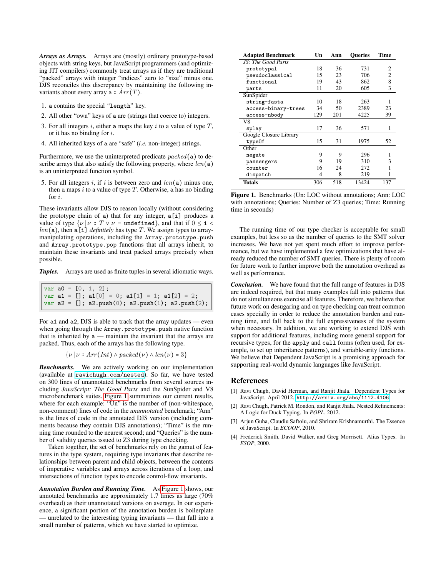*Arrays as Arrays.* Arrays are (mostly) ordinary prototype-based objects with string keys, but JavaScript programmers (and optimizing JIT compilers) commonly treat arrays as if they are traditional "packed" arrays with integer "indices" zero to "size" minus one. DJS reconciles this discrepancy by maintaining the following invariants about every array  $a :: Arr(T)$ .

- 1. a contains the special "length" key.
- 2. All other "own" keys of a are (strings that coerce to) integers.
- 3. For all integers  $i$ , either a maps the key  $i$  to a value of type  $T$ , or it has no binding for i.
- 4. All inherited keys of a are "safe" (*i.e.* non-integer) strings.

Furthermore, we use the uninterpreted predicate  $packet(\mathbf{a})$  to describe arrays that also satisfy the following property, where  $len(a)$ is an uninterpreted function symbol.

5. For all integers i, if i is between zero and  $len(a)$  minus one, then a maps i to a value of type  $T$ . Otherwise, a has no binding for i.

These invariants allow DJS to reason locally (without considering the prototype chain of a) that for any integer, a[i] produces a value of type  $\{v \mid v :: T \lor v = \text{undefined}\}$ , and that if  $0 \le i <$  $len(a)$ , then  $a[i]$  *definitely* has type T. We assign types to arraymanipulating operations, including the Array.prototype.push and Array.prototype.pop functions that all arrays inherit, to maintain these invariants and treat packed arrays precisely when possible.

*Tuples.* Arrays are used as finite tuples in several idiomatic ways.

```
var a0 = [0, 1, 2];var a1 = []; a1[0] = 0; a1[1] = 1; a1[2] = 2;
var a2 = []; a2.push(0); a2.push(1); a2.push(2);
```
For a1 and a2, DJS is able to track that the array updates — even when going through the Array.prototype.push native function that is inherited by  $a$  — maintain the invariant that the arrays are packed. Thus, each of the arrays has the following type.

$$
\{\nu \mid \nu : \text{Arr}(Int) \land \text{packet}(\nu) \land \text{len}(\nu) = 3\}
$$

*Benchmarks.* We are actively working on our implementation (available at <ravichugh.com/nested>). So far, we have tested on 300 lines of unannotated benchmarks from several sources including *JavaScript: The Good Parts* and the SunSpider and V8 microbenchmark suites. [Figure 1](#page-1-4) summarizes our current results, where for each example: "Un" is the number of (non-whitespace, non-comment) lines of code in the *unannotated* benchmark; "Ann" is the lines of code in the annotated DJS version (including comments because they contain DJS annotations); "Time" is the running time rounded to the nearest second; and "Queries" is the number of validity queries issued to Z3 during type checking.

Taken together, the set of benchmarks rely on the gamut of features in the type system, requiring type invariants that describe relationships between parent and child objects, between the contents of imperative variables and arrays across iterations of a loop, and intersections of function types to encode control-flow invariants.

*Annotation Burden and Running Time.* As [Figure 1](#page-1-4) shows, our annotated benchmarks are approximately 1.7 times as large (70% overhead) as their unannotated versions on average. In our experience, a significant portion of the annotation burden is boilerplate — unrelated to the interesting typing invariants — that fall into a small number of patterns, which we have started to optimize.

| <b>Adapted Benchmark</b> | Un  | Ann | <b>Oueries</b> | Time |
|--------------------------|-----|-----|----------------|------|
| JS: The Good Parts       |     |     |                |      |
| prototypal               | 18  | 36  | 731            | 2    |
| pseudoclassical          | 15  | 23  | 706            | 2    |
| functional               | 19  | 43  | 862            | 8    |
| parts                    | 11  | 20  | 605            | 3    |
| SunSpider                |     |     |                |      |
| string-fasta             | 10  | 18  | 263            |      |
| access-binary-trees      | 34  | 50  | 2389           | 23   |
| access-nbody             | 129 | 201 | 4225           | 39   |
| V8                       |     |     |                |      |
| splay                    | 17  | 36  | 571            | 1    |
| Google Closure Library   |     |     |                |      |
| typeOf                   | 15  | 31  | 1975           | 52   |
| Other                    |     |     |                |      |
| negate                   | 9   | 9   | 296            | 1    |
| passengers               | 9   | 19  | 310            | 3    |
| counter                  | 16  | 24  | 272            |      |
| dispatch                 | 4   | 8   | 219            |      |
| Totals                   | 306 | 518 | 13424          | 137  |

Figure 1. Benchmarks (Un: LOC without annotations; Ann: LOC with annotations; Queries: Number of Z3 queries; Time: Running time in seconds)

The running time of our type checker is acceptable for small examples, but less so as the number of queries to the SMT solver increases. We have not yet spent much effort to improve performance, but we have implemented a few optimizations that have already reduced the number of SMT queries. There is plenty of room for future work to further improve both the annotation overhead as well as performance.

*Conclusion.* We have found that the full range of features in DJS are indeed required, but that many examples fall into patterns that do not simultaneous exercise all features. Therefore, we believe that future work on desugaring and on type checking can treat common cases specially in order to reduce the annotation burden and running time, and fall back to the full expressiveness of the system when necessary. In addition, we are working to extend DJS with support for additional features, including more general support for recursive types, for the apply and call forms (often used, for example, to set up inheritance patterns), and variable-arity functions. We believe that Dependent JavaScript is a promising approach for supporting real-world dynamic languages like JavaScript.

- [1] Ravi Chugh, David Herman, and Ranjit Jhala. Dependent Types for JavaScript. April 2012. <http://arxiv.org/abs/1112.4106>.
- [2] Ravi Chugh, Patrick M. Rondon, and Ranjit Jhala. Nested Refinements: A Logic for Duck Typing. In *POPL*, 2012.
- [3] Arjun Guha, Claudiu Saftoiu, and Shriram Krishnamurthi. The Essence of JavaScript. In *ECOOP*, 2010.
- [4] Frederick Smith, David Walker, and Greg Morrisett. Alias Types. In *ESOP*, 2000.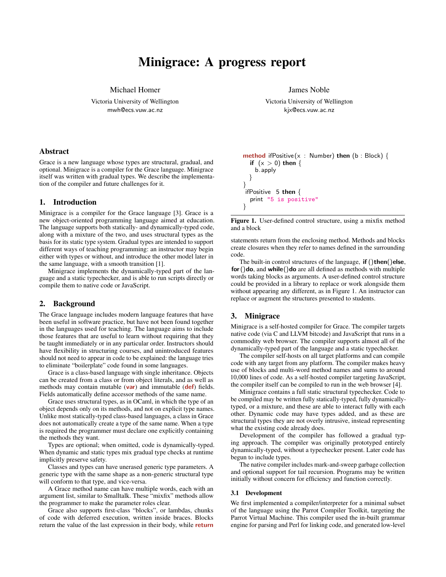## Minigrace: A progress report

Michael Homer

Victoria University of Wellington mwh@ecs.vuw.ac.nz

#### Abstract

Grace is a new language whose types are structural, gradual, and optional. Minigrace is a compiler for the Grace language. Minigrace itself was written with gradual types. We describe the implementation of the compiler and future challenges for it.

#### 1. Introduction

Minigrace is a compiler for the Grace language [3]. Grace is a new object-oriented programming language aimed at education. The language supports both statically- and dynamically-typed code, along with a mixture of the two, and uses structural types as the basis for its static type system. Gradual types are intended to support different ways of teaching programming: an instructor may begin either with types or without, and introduce the other model later in the same language, with a smooth transition [1].

Minigrace implements the dynamically-typed part of the language and a static typechecker, and is able to run scripts directly or compile them to native code or JavaScript.

#### 2. Background

The Grace language includes modern language features that have been useful in software practice, but have not been found together in the languages used for teaching. The language aims to include those features that are useful to learn without requiring that they be taught immediately or in any particular order. Instructors should have flexibility in structuring courses, and unintroduced features should not need to appear in code to be explained: the language tries to eliminate "boilerplate" code found in some languages.

Grace is a class-based language with single inheritance. Objects can be created from a class or from object literals, and as well as methods may contain mutable (var) and immutable (def) fields. Fields automatically define accessor methods of the same name.

Grace uses structural types, as in OCaml, in which the type of an object depends only on its methods, and not on explicit type names. Unlike most statically-typed class-based languages, a class in Grace does not automatically create a type of the same name. When a type is required the programmer must declare one explicitly containing the methods they want.

Types are optional; when omitted, code is dynamically-typed. When dynamic and static types mix gradual type checks at runtime implicitly preserve safety.

Classes and types can have unerased generic type parameters. A generic type with the same shape as a non-generic structural type will conform to that type, and vice-versa.

A Grace method name can have multiple words, each with an argument list, similar to Smalltalk. These "mixfix" methods allow the programmer to make the parameter roles clear.

Grace also supports first-class "blocks", or lambdas, chunks of code with deferred execution, written inside braces. Blocks return the value of the last expression in their body, while **return**  James Noble

Victoria University of Wellington kjx@ecs.vuw.ac.nz

```
method ifPositive (x : Number) then (b : Block) {
  if (x > 0) then {
   b.apply
 }
}
ifPositive 5 then {
  print "5 is positive"
}
```
Figure 1. User-defined control structure, using a mixfix method and a block

statements return from the enclosing method. Methods and blocks create closures when they refer to names defined in the surrounding code.

The built-in control structures of the language,  $\mathbf{if}$  ()then()else,  $for()$ do, and while()do are all defined as methods with multiple words taking blocks as arguments. A user-defined control structure could be provided in a library to replace or work alongside them without appearing any different, as in Figure 1. An instructor can replace or augment the structures presented to students.

#### 3. Minigrace

Minigrace is a self-hosted compiler for Grace. The compiler targets native code (via C and LLVM bitcode) and JavaScript that runs in a commodity web browser. The compiler supports almost all of the dynamically-typed part of the language and a static typechecker.

The compiler self-hosts on all target platforms and can compile code with any target from any platform. The compiler makes heavy use of blocks and multi-word method names and sums to around 10,000 lines of code. As a self-hosted compiler targeting JavaScript, the compiler itself can be compiled to run in the web browser [4].

Minigrace contains a full static structural typechecker. Code to be compiled may be written fully statically-typed, fully dynamicallytyped, or a mixture, and these are able to interact fully with each other. Dynamic code may have types added, and as these are structural types they are not overly intrusive, instead representing what the existing code already does.

Development of the compiler has followed a gradual typing approach. The compiler was originally prototyped entirely dynamically-typed, without a typechecker present. Later code has begun to include types.

The native compiler includes mark-and-sweep garbage collection and optional support for tail recursion. Programs may be written initially without concern for efficiency and function correctly.

#### 3.1 Development

We first implemented a compiler/interpreter for a minimal subset of the language using the Parrot Compiler Toolkit, targeting the Parrot Virtual Machine. This compiler used the in-built grammar engine for parsing and Perl for linking code, and generated low-level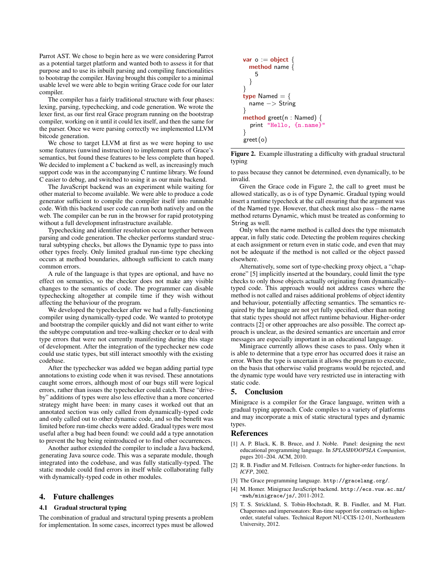Parrot AST. We chose to begin here as we were considering Parrot as a potential target platform and wanted both to assess it for that purpose and to use its inbuilt parsing and compiling functionalities to bootstrap the compiler. Having brought this compiler to a minimal usable level we were able to begin writing Grace code for our later compiler.

The compiler has a fairly traditional structure with four phases: lexing, parsing, typechecking, and code generation. We wrote the lexer first, as our first real Grace program running on the bootstrap compiler, working on it until it could lex itself, and then the same for the parser. Once we were parsing correctly we implemented LLVM bitcode generation.

We chose to target LLVM at first as we were hoping to use some features (unwind instruction) to implement parts of Grace's semantics, but found these features to be less complete than hoped. We decided to implement a C backend as well, as increasingly much support code was in the accompanying C runtime library. We found C easier to debug, and switched to using it as our main backend.

The JavaScript backend was an experiment while waiting for other material to become available. We were able to produce a code generator sufficient to compile the compiler itself into runnable code. With this backend user code can run both natively and on the web. The compiler can be run in the browser for rapid prototyping without a full development infrastructure available.

Typechecking and identifier resolution occur together between parsing and code generation. The checker performs standard structural subtyping checks, but allows the Dynamic type to pass into other types freely. Only limited gradual run-time type checking occurs at method boundaries, although sufficient to catch many common errors.

A rule of the language is that types are optional, and have no effect on semantics, so the checker does not make any visible changes to the semantics of code. The programmer can disable typechecking altogether at compile time if they wish without affecting the behaviour of the program.

We developed the typechecker after we had a fully-functioning compiler using dynamically-typed code. We wanted to prototype and bootstrap the compiler quickly and did not want either to write the subtype computation and tree-walking checker or to deal with type errors that were not currently manifesting during this stage of development. After the integration of the typechecker new code could use static types, but still interact smoothly with the existing codebase.

After the typechecker was added we began adding partial type annotations to existing code when it was revised. These annotations caught some errors, although most of our bugs still were logical errors, rather than issues the typechecker could catch. These "driveby" additions of types were also less effective than a more concerted strategy might have been: in many cases it worked out that an annotated section was only called from dynamically-typed code and only called out to other dynamic code, and so the benefit was limited before run-time checks were added. Gradual types were most useful after a bug had been found: we could add a type annotation to prevent the bug being reintroduced or to find other occurrences.

Another author extended the compiler to include a Java backend, generating Java source code. This was a separate module, though integrated into the codebase, and was fully statically-typed. The static module could find errors in itself while collaborating fully with dynamically-typed code in other modules.

### 4. Future challenges

#### 4.1 Gradual structural typing

The combination of gradual and structural typing presents a problem for implementation. In some cases, incorrect types must be allowed

```
var o := object \{method name {
    5
  }
}
type Named = {
 name −> String
}
method greet(n : Named) {
  print "Hello, {n.name}'
}
greet (o)
```
Figure 2. Example illustrating a difficulty with gradual structural typing

to pass because they cannot be determined, even dynamically, to be invalid.

Given the Grace code in Figure 2, the call to greet must be allowed statically, as o is of type Dynamic. Gradual typing would insert a runtime typecheck at the call ensuring that the argument was of the Named type. However, that check must also pass – the name method returns Dynamic, which must be treated as conforming to String as well.

Only when the name method is called does the type mismatch appear, in fully static code. Detecting the problem requires checking at each assignment or return even in static code, and even that may not be adequate if the method is not called or the object passed elsewhere.

Alternatively, some sort of type-checking proxy object, a "chaperone" [5] implicitly inserted at the boundary, could limit the type checks to only those objects actually originating from dynamicallytyped code. This approach would not address cases where the method is not called and raises additional problems of object identity and behaviour, potentially affecting semantics. The semantics required by the language are not yet fully specified, other than noting that static types should not affect runtime behaviour. Higher-order contracts [2] or other approaches are also possible. The correct approach is unclear, as the desired semantics are uncertain and error messages are especially important in an educational language.

Minigrace currently allows these cases to pass. Only when it is able to determine that a type error has occurred does it raise an error. When the type is uncertain it allows the program to execute, on the basis that otherwise valid programs would be rejected, and the dynamic type would have very restricted use in interacting with static code.

#### 5. Conclusion

Minigrace is a compiler for the Grace language, written with a gradual typing approach. Code compiles to a variety of platforms and may incorporate a mix of static structural types and dynamic types.

- [1] A. P. Black, K. B. Bruce, and J. Noble. Panel: designing the next educational programming language. In *SPLASH/OOPSLA Companion*, pages 201–204. ACM, 2010.
- [2] R. B. Findler and M. Felleisen. Contracts for higher-order functions. In *ICFP*, 2002.
- [3] The Grace programming language. http://gracelang.org/.
- [4] M. Homer. Minigrace JavaScript backend. http://ecs.vuw.ac.nz/  $\nu$ mwh/minigrace/js/, 2011-2012.
- [5] T. S. Strickland, S. Tobin-Hochstadt, R. B. Findler, and M. Flatt. Chaperones and impersonators: Run-time support for contracts on higherorder, stateful values. Technical Report NU-CCIS-12-01, Northeastern University, 2012.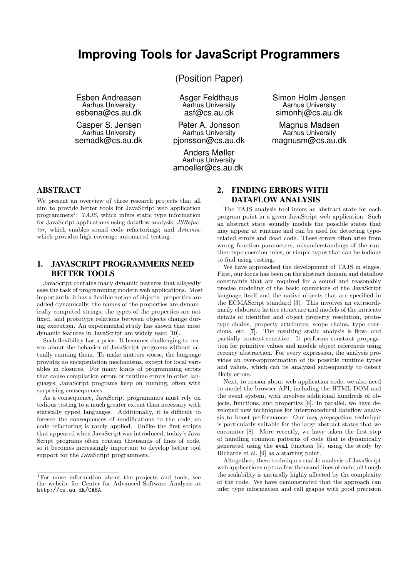# **Improving Tools for JavaScript Programmers**

Esben Andreasen Aarhus University esbena@cs.au.dk

Casper S. Jensen Aarhus University semadk@cs.au.dk (Position Paper)

Asger Feldthaus Aarhus University asf@cs.au.dk

Peter A. Jonsson Aarhus University pjonsson@cs.au.dk

Anders Møller Aarhus University amoeller@cs.au.dk Simon Holm Jensen Aarhus University simonhj@cs.au.dk

Magnus Madsen Aarhus University magnusm@cs.au.dk

## **ABSTRACT**

We present an overview of three research projects that all aim to provide better tools for JavaScript web application programmers<sup>1</sup>: TAJS, which infers static type information for JavaScript applications using dataflow analysis; JSRefactor, which enables sound code refactorings; and Artemis, which provides high-coverage automated testing.

## **1. JAVASCRIPT PROGRAMMERS NEED BETTER TOOLS**

JavaScript contains many dynamic features that allegedly ease the task of programming modern web applications. Most importantly, it has a flexible notion of objects: properties are added dynamically, the names of the properties are dynamically computed strings, the types of the properties are not fixed, and prototype relations between objects change during execution. An experimental study has shown that most dynamic features in JavaScript are widely used [10].

Such flexibility has a price. It becomes challenging to reason about the behavior of JavaScript programs without actually running them. To make matters worse, the language provides no encapsulation mechanisms, except for local variables in closures. For many kinds of programming errors that cause compilation errors or runtime errors in other languages, JavaScript programs keep on running, often with surprising consequences.

As a consequence, JavaScript programmers must rely on tedious testing to a much greater extent than necessary with statically typed languages. Additionally, it is difficult to foresee the consequences of modifications to the code, so code refactoring is rarely applied. Unlike the first scripts that appeared when JavaScript was introduced, today's Java-Script programs often contain thousands of lines of code, so it becomes increasingly important to develop better tool support for the JavaScript programmers.

## **2. FINDING ERRORS WITH DATAFLOW ANALYSIS**

The TAJS analysis tool infers an abstract state for each program point in a given JavaScript web application. Such an abstract state soundly models the possible states that may appear at runtime and can be used for detecting typerelated errors and dead code. These errors often arise from wrong function parameters, misunderstandings of the runtime type coercion rules, or simple typos that can be tedious to find using testing.

We have approached the development of TAJS in stages. First, our focus has been on the abstract domain and dataflow constraints that are required for a sound and reasonably precise modeling of the basic operations of the JavaScript language itself and the native objects that are specified in the ECMAScript standard [3]. This involves an extraordinarily elaborate lattice structure and models of the intricate details of identifier and object property resolution, prototype chains, property attributes, scope chains, type coercions, etc. [7]. The resulting static analysis is flow- and partially context-sensitive. It performs constant propagation for primitive values and models object references using recency abstraction. For every expression, the analysis provides an over-approximation of its possible runtime types and values, which can be analyzed subsequently to detect likely errors.

Next, to reason about web application code, we also need to model the browser API, including the HTML DOM and the event system, with involves additional hundreds of objects, functions, and properties [6]. In parallel, we have developed new techniques for interprocedural dataflow analysis to boost performance. Our lazy propagation technique is particularly suitable for the large abstract states that we encounter [8]. More recently, we have taken the first step of handling common patterns of code that is dynamically generated using the eval function [5], using the study by Richards et al. [9] as a starting point.

Altogether, these techniques enable analysis of JavaScript web applications up to a few thousand lines of code, although the scalability is naturally highly affected by the complexity of the code. We have demonstrated that the approach can infer type information and call graphs with good precision

<sup>1</sup>For more information about the projects and tools, see the website for Center for Advanced Software Analysis at http://cs.au.dk/CASA.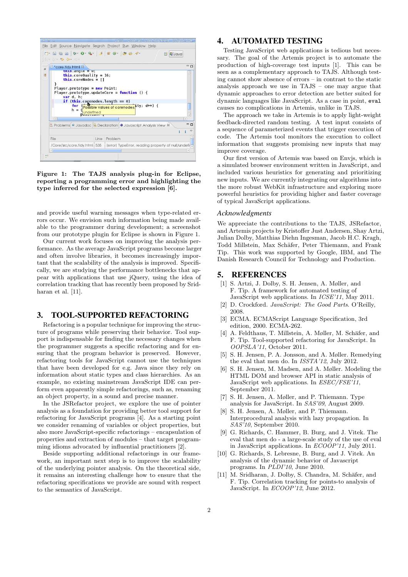

Figure 1: The TAJS analysis plug-in for Eclipse, reporting a programming error and highlighting the type inferred for the selected expression [6].

and provide useful warning messages when type-related errors occur. We envision such information being made available to the programmer during development; a screenshot from our prototype plugin for Eclipse is shown in Figure 1.

Our current work focuses on improving the analysis performance. As the average JavaScript programs become larger and often involve libraries, it becomes increasingly important that the scalability of the analysis is improved. Specifically, we are studying the performance bottlenecks that appear with applications that use jQuery, using the idea of correlation tracking that has recently been proposed by Sridharan et al. [11].

### **3. TOOL-SUPPORTED REFACTORING**

Refactoring is a popular technique for improving the structure of programs while preserving their behavior. Tool support is indispensable for finding the necessary changes when the programmer suggests a specific refactoring and for ensuring that the program behavior is preserved. However, refactoring tools for JavaScript cannot use the techniques that have been developed for e.g. Java since they rely on information about static types and class hierarchies. As an example, no existing mainstream JavaScript IDE can perform even apparently simple refactorings, such as, renaming an object property, in a sound and precise manner.

In the JSRefactor project, we explore the use of pointer analysis as a foundation for providing better tool support for refactoring for JavaScript programs [4]. As a starting point we consider renaming of variables or object properties, but also more JavaScript-specific refactorings – encapsulation of properties and extraction of modules – that target programming idioms advocated by influential practitioners [2].

Beside supporting additional refactorings in our framework, an important next step is to improve the scalability of the underlying pointer analysis. On the theoretical side, it remains an interesting challenge how to ensure that the refactoring specifications we provide are sound with respect to the semantics of JavaScript.

## **4. AUTOMATED TESTING**

Testing JavaScript web applications is tedious but necessary. The goal of the Artemis project is to automate the production of high-coverage test inputs [1]. This can be seen as a complementary approach to TAJS. Although testing cannot show absence of errors – in contrast to the static analysis approach we use in TAJS – one may argue that dynamic approaches to error detection are better suited for dynamic languages like JavaScript. As a case in point, eval causes no complications in Artemis, unlike in TAJS.

The approach we take in Artemis is to apply light-weight feedback-directed random testing. A test input consists of a sequence of parameterized events that trigger execution of code. The Artemis tool monitors the execution to collect information that suggests promising new inputs that may improve coverage.

Our first version of Artemis was based on Envjs, which is a simulated browser environment written in JavaScript, and included various heuristics for generating and prioritizing new inputs. We are currently integrating our algorithms into the more robust WebKit infrastructure and exploring more powerful heuristics for providing higher and faster coverage of typical JavaScript applications.

#### *Acknowledgments*

We appreciate the contributions to the TAJS, JSRefactor, and Artemis projects by Kristoffer Just Andersen, Shay Artzi, Julian Dolby, Matthias Diehn Ingesman, Jacob H.C. Kragh, Todd Millstein, Max Schäfer, Peter Thiemann, and Frank Tip. This work was supported by Google, IBM, and The Danish Research Council for Technology and Production.

#### **5. REFERENCES**

- [1] S. Artzi, J. Dolby, S. H. Jensen, A. Møller, and F. Tip. A framework for automated testing of JavaScript web applications. In ICSE'11, May 2011.
- [2] D. Crockford. JavaScript: The Good Parts. O'Reilly, 2008.
- [3] ECMA. ECMAScript Language Specification, 3rd edition, 2000. ECMA-262.
- [4] A. Feldthaus, T. Millstein, A. Møller, M. Schäfer, and F. Tip. Tool-supported refactoring for JavaScript. In OOPSLA'11, October 2011.
- [5] S. H. Jensen, P. A. Jonsson, and A. Møller. Remedying the eval that men do. In ISSTA'12, July 2012.
- S. H. Jensen, M. Madsen, and A. Møller. Modeling the HTML DOM and browser API in static analysis of JavaScript web applications. In ESEC/FSE'11, September 2011.
- [7] S. H. Jensen, A. Møller, and P. Thiemann. Type analysis for JavaScript. In SAS'09, August 2009.
- [8] S. H. Jensen, A. Møller, and P. Thiemann. Interprocedural analysis with lazy propagation. In SAS'10, September 2010.
- [9] G. Richards, C. Hammer, B. Burg, and J. Vitek. The eval that men do - a large-scale study of the use of eval in JavaScript applications. In  $ECOOP'11$ , July 2011.
- [10] G. Richards, S. Lebresne, B. Burg, and J. Vitek. An analysis of the dynamic behavior of Javascript programs. In PLDI'10, June 2010.
- [11] M. Sridharan, J. Dolby, S. Chandra, M. Schäfer, and F. Tip. Correlation tracking for points-to analysis of JavaScript. In ECOOP'12, June 2012.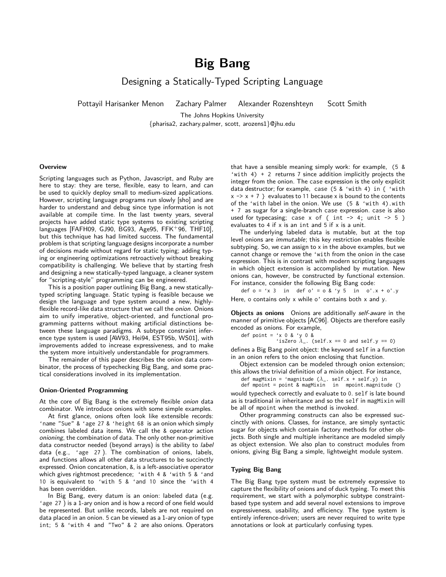# **Big Bang**

Designing a Statically-Typed Scripting Language

Pottayil Harisanker Menon Zachary Palmer Alexander Rozenshteyn Scott Smith

The Johns Hopkins University {pharisa2, zachary.palmer, scott, arozens1}@jhu.edu

#### **Overview**

Scripting languages such as Python, Javascript, and Ruby are here to stay: they are terse, flexible, easy to learn, and can be used to quickly deploy small to medium-sized applications. However, scripting language programs run slowly [sho] and are harder to understand and debug since type information is not available at compile time. In the last twenty years, several projects have added static type systems to existing scripting languages [FAFH09, GJ90, BG93, Age95, FFK+96, THF10], but this technique has had limited success. The fundamental problem is that scripting language designs incorporate a number of decisions made without regard for static typing; adding typing or engineering optimizations retroactively without breaking compatibility is challenging. We believe that by starting fresh and designing a new statically-typed language, a cleaner system for "scripting-style" programming can be engineered.

This is a position paper outlining Big Bang, a new staticallytyped scripting language. Static typing is feasible because we design the language and type system around a new, highlyflexible record-like data structure that we call the onion. Onions aim to unify imperative, object-oriented, and functional programming patterns without making artificial distinctions between these language paradigms. A subtype constraint inference type system is used [AW93, Hei94, EST95b, WS01], with improvements added to increase expressiveness, and to make the system more intuitively understandable for programmers.

The remainder of this paper describes the onion data combinator, the process of typechecking Big Bang, and some practical considerations involved in its implementation.

#### **Onion-Oriented Programming**

At the core of Big Bang is the extremely flexible onion data combinator. We introduce onions with some simple examples.

At first glance, onions often look like extensible records: 'name "Sue" & 'age 27 & 'height 68 is an onion which simply combines labeled data items. We call the & operator action onioning, the combination of data. The only other non-primitive data constructor needed (beyond arrays) is the ability to label data (e.g., 'age 27 ). The combination of onions, labels, and functions allows all other data structures to be succinctly expressed. Onion concatenation, &, is a left-associative operator which gives rightmost precedence; 'with 4 & 'with 5 & 'and 10 is equivalent to 'with 5 & 'and 10 since the 'with 4 has been overridden.

In Big Bang, every datum is an onion: labeled data (e.g. 'age 27 ) is a 1-ary onion and is how a record of one field would be represented. But unlike records, labels are not required on data placed in an onion. 5 can be viewed as a 1-ary onion of type int; 5 & 'with 4 and "Two" & 2 are also onions. Operators

that have a sensible meaning simply work: for example, (5 & 'with 4) + 2 returns 7 since addition implicitly projects the integer from the onion. The case expression is the only explicit data destructor; for example, case (5 & 'with 4) in { 'with  $x \rightarrow x + 7$  } evaluates to 11 because x is bound to the contents of the 'with label in the onion. We use (5 & 'with 4).with + 7 as sugar for a single-branch case expression. case is also used for typecasing; case x of { int  $\rightarrow$  4; unit  $\rightarrow$  5 } evaluates to 4 if  $x$  is an int and 5 if  $x$  is a unit.

The underlying labeled data is mutable, but at the top level onions are immutable; this key restriction enables flexible subtyping. So, we can assign to x in the above examples, but we cannot change or remove the 'with from the onion in the case expression. This is in contrast with modern scripting languages in which object extension is accomplished by mutation. New onions can, however, be constructed by functional extension. For instance, consider the following Big Bang code:

def  $o = 'x 3$  in def  $o' = o 8$  'y 5 in  $o'.x + o'.y$ Here, o contains only x while o' contains both x and y.

**Objects as onions** Onions are additionally self-aware in the manner of primitive objects [AC96]. Objects are therefore easily encoded as onions. For example,

def point =  $'x$  0 &  $'y$  0 &

'isZero  $\lambda$ <sub>-</sub>. (self.x == 0 and self.y == 0)

defines a Big Bang point object: the keyword self in a function in an onion refers to the onion enclosing that function.

Object extension can be modeled through onion extension; this allows the trivial definition of a mixin object. For instance,

def magMixin = 'magnitude (λ\_. self.x + self.y) in<br>def mpoint = point & magMixin in mpoint.magnitude ()

would typecheck correctly and evaluate to 0. self is late bound as is traditional in inheritance and so the self in magMixin will be all of mpoint when the method is invoked.

Other programming constructs can also be expressed succinctly with onions. Classes, for instance, are simply syntactic sugar for objects which contain factory methods for other objects. Both single and multiple inheritance are modeled simply as object extension. We also plan to construct modules from onions, giving Big Bang a simple, lightweight module system.

#### **Typing Big Bang**

The Big Bang type system must be extremely expressive to capture the flexibility of onions and of duck typing. To meet this requirement, we start with a polymorphic subtype constraintbased type system and add several novel extensions to improve expressiveness, usability, and efficiency. The type system is entirely inference-driven; users are never required to write type annotations or look at particularly confusing types.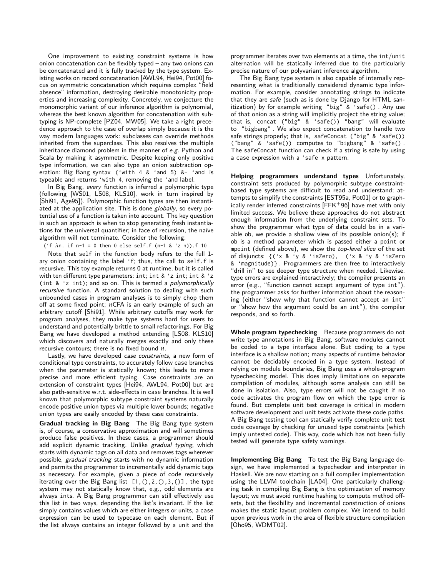One improvement to existing constraint systems is how onion concatenation can be flexibly typed – any two onions can be concatenated and it is fully tracked by the type system. Existing works on record concatenation [AWL94, Hei94, Pot00] focus on symmetric concatenation which requires complex "field absence" information, destroying desirable monotonicity properties and increasing complexity. Concretely, we conjecture the monomorphic variant of our inference algorithm is polynomial, whereas the best known algorithm for concatenation with subtyping is NP-complete [PZ04, MW05]. We take a right precedence approach to the case of overlap simply because it is the way modern languages work: subclasses can override methods inherited from the superclass. This also resolves the multiple inheritance diamond problem in the manner of e.g. Python and Scala by making it asymmetric. Despite keeping only positive type information, we can also type an onion subtraction operation: Big Bang syntax ('with 4 & 'and 5) &- 'and is typeable and returns 'with 4, removing the 'and label.

In Big Bang, every function is inferred a polymorphic type (following [WS01, LS08, KLS10], work in turn inspired by [Shi91, Age95]). Polymorphic function types are then instantiated at the application site. This is done globally, so every potential use of a function is taken into account. The key question in such an approach is when to stop generating fresh instantiations for the universal quantifier; in face of recursion, the naïve algorithm will not terminate. Consider the following:

('f *λ*n. if n-1 = 0 then 0 else self.f (n-1 & 'z n)).f 10

Note that self in the function body refers to the full 1 ary onion containing the label 'f; thus, the call to self.f is recursive. This toy example returns 0 at runtime, but it is called with ten different type parameters: int; int & 'z int; int & 'z (int & 'z int); and so on. This is termed a polymorphically recursive function. A standard solution to dealing with such unbounded cases in program analyses is to simply chop them off at some fixed point; *n*CFA is an early example of such an arbitrary cutoff [Shi91]. While arbitrary cutoffs may work for program analyses, they make type systems hard for users to understand and potentially brittle to small refactorings. For Big Bang we have developed a method extending [LS08, KLS10] which discovers and naturally merges exactly and only these recursive contours; there is no fixed bound *n*.

Lastly, we have developed case constraints, a new form of conditional type constraints, to accurately follow case branches when the parameter is statically known; this leads to more precise and more efficient typing. Case constraints are an extension of constraint types [Hei94, AWL94, Pot00] but are also path-sensitive w.r.t. side-effects in case branches. It is well known that polymorphic subtype constraint systems naturally encode positive union types via multiple lower bounds; negative union types are easily encoded by these case constraints.

**Gradual tracking in Big Bang** The Big Bang type system is, of course, a conservative approximation and will sometimes produce false positives. In these cases, a programmer should add explicit dynamic tracking. Unlike gradual typing, which starts with dynamic tags on all data and removes tags wherever possible, gradual tracking starts with no dynamic information and permits the programmer to incrementally add dynamic tags as necessary. For example, given a piece of code recursively iterating over the Big Bang list  $[1,(),2,(),3,()]$ , the type system may not statically know that, e.g., odd elements are always ints. A Big Bang programmer can still effectively use this list in two ways, depending the list's invariant. If the list simply contains values which are either integers or units, a case expression can be used to typecase on each element. But if the list always contains an integer followed by a unit and the programmer iterates over two elements at a time, the int/unit alternation will be statically inferred due to the particularly precise nature of our polyvariant inference algorithm.

The Big Bang type system is also capable of internally representing what is traditionally considered dynamic type information. For example, consider annotating strings to indicate that they are safe (such as is done by Django for HTML sanitization) by for example writing "big" & 'safe(). Any use of that onion as a string will implicitly project the string value; that is, concat ("big" & 'safe()) "bang" will evaluate to "bigbang" . We also expect concatenation to handle two safe strings properly; that is, safeConcat ("big" & 'safe()) ("bang" & 'safe()) computes to "bigbang" & 'safe() . The safeConcat function can check if a string is safe by using a case expression with a 'safe x pattern.

**Helping programmers understand types** Unfortunately, constraint sets produced by polymorphic subtype constraintbased type systems are difficult to read and understand; attempts to simplify the constraints [EST95a, Pot01] or to graphically render inferred constraints  $[FFK+96]$  have met with only limited success. We believe these approaches do not abstract enough information from the underlying constraint sets. To show the programmer what type of data could be in a variable ob, we provide a shallow view of its possible onion(s); if ob is a method parameter which is passed either a point or mpoint (defined above), we show the top-level slice of the set of disjuncts: {('x & 'y & 'isZero), ('x & 'y & 'isZero & 'magnitude)} . Programmers are then free to interactively "drill in" to see deeper type structure when needed. Likewise, type errors are explained interactively; the compiler presents an error (e.g., "function cannot accept argument of type int"), the programmer asks for further information about the reasoning (either "show why that function cannot accept an int" or "show how the argument could be an int"), the compiler responds, and so forth.

**Whole program typechecking** Because programmers do not write type annotations in Big Bang, software modules cannot be coded to a type interface alone. But coding to a type interface is a shallow notion; many aspects of runtime behavior cannot be decidably encoded in a type system. Instead of relying on module boundaries, Big Bang uses a whole-program typechecking model. This does imply limitations on separate compilation of modules, although some analysis can still be done in isolation. Also, type errors will not be caught if no code activates the program flow on which the type error is found. But complete unit test coverage is critical in modern software development and unit tests activate these code paths. A Big Bang testing tool can statically verify complete unit test code coverage by checking for unused type constraints (which imply untested code). This way, code which has not been fully tested will generate type safety warnings.

**Implementing Big Bang** To test the Big Bang language design, we have implemented a typechecker and interpreter in Haskell. We are now starting on a full compiler implementation using the LLVM toolchain [LA04]. One particularly challenging task in compiling Big Bang is the optimization of memory layout; we must avoid runtime hashing to compute method offsets, but the flexibility and incremental construction of onions makes the static layout problem complex. We intend to build upon previous work in the area of flexible structure compilation [Oho95, WDMT02].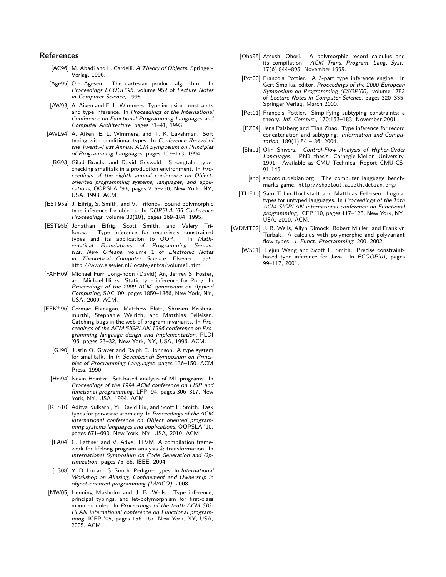- [AC96] M. Abadi and L. Cardelli. A Theory of Objects. Springer-Verlag, 1996.
- [Age95] Ole Agesen. The cartesian product algorithm. In Proceedings ECOOP'95, volume 952 of Lecture Notes in Computer Science, 1995.
- [AW93] A. Aiken and E. L. Wimmers. Type inclusion constraints and type inference. In Proceedings of the International Conference on Functional Programming Languages and Computer Architecture, pages 31–41, 1993.
- [AWL94] A. Aiken, E. L. Wimmers, and T. K. Lakshman. Soft typing with conditional types. In Conference Record of the Twenty-First Annual ACM Symposium on Principles of Programming Languages, pages 163–173, 1994.
- [BG93] Gilad Bracha and David Griswold. Strongtalk: typechecking smalltalk in a production environment. In Proceedings of the eighth annual conference on Objectoriented programming systems, languages, and applications, OOPSLA '93, pages 215–230, New York, NY, USA, 1993. ACM.
- [EST95a] J. Eifrig, S. Smith, and V. Trifonov. Sound polymorphic type inference for objects. In OOPSLA '95 Conference Proceedings, volume 30(10), pages 169–184, 1995.
- [EST95b] Jonathan Eifrig, Scott Smith, and Valery Trifonov. Type inference for recursively constrained types and its application to OOP. In Mathematical Foundations of Programming Semantics, New Orleans, volume 1 of Electronic Notes in Theoretical Computer Science. Elsevier, 1995. http://www.elsevier.nl/locate/entcs/volume1.html.
- [FAFH09] Michael Furr, Jong-hoon (David) An, Jeffrey S. Foster, and Michael Hicks. Static type inference for Ruby. In Proceedings of the 2009 ACM symposium on Applied Computing, SAC '09, pages 1859–1866, New York, NY, USA, 2009. ACM.
- [FFK+96] Cormac Flanagan, Matthew Flatt, Shriram Krishnamurthi, Stephanie Weirich, and Matthias Felleisen. Catching bugs in the web of program invariants. In Proceedings of the ACM SIGPLAN 1996 conference on Programming language design and implementation, PLDI '96, pages 23–32, New York, NY, USA, 1996. ACM.
	- [GJ90] Justin O. Graver and Ralph E. Johnson. A type system for smalltalk. In In Seventeenth Symposium on Principles of Programming Languages, pages 136–150. ACM Press, 1990.
	- [Hei94] Nevin Heintze. Set-based analysis of ML programs. In Proceedings of the 1994 ACM conference on LISP and functional programming, LFP '94, pages 306–317, New York, NY, USA, 1994. ACM.
	- [KLS10] Aditya Kulkarni, Yu David Liu, and Scott F. Smith. Task types for pervasive atomicity. In Proceedings of the ACM international conference on Object oriented programming systems languages and applications, OOPSLA '10, pages 671–690, New York, NY, USA, 2010. ACM.
	- [LA04] C. Lattner and V. Adve. LLVM: A compilation framework for lifelong program analysis & transformation. In International Symposium on Code Generation and Optimization, pages 75–86. IEEE, 2004.
	- [LS08] Y. D. Liu and S. Smith. Pedigree types. In International Workshop on Aliasing, Confinement and Ownership in object-oriented programming (IWACO), 2008.
- [MW05] Henning Makholm and J. B. Wells. Type inference, principal typings, and let-polymorphism for first-class mixin modules. In Proceedings of the tenth ACM SIG-PLAN international conference on Functional programming, ICFP '05, pages 156–167, New York, NY, USA, 2005. ACM.
- [Oho95] Atsushi Ohori. A polymorphic record calculus and its compilation. ACM Trans. Program. Lang. Syst., 17(6):844–895, November 1995.
- [Pot00] Francois Pottier. A 3-part type inference engine. In Gert Smolka, editor, Proceedings of the 2000 European Symposium on Programming (ESOP'00), volume 1782 of Lecture Notes in Computer Science, pages 320–335. Springer Verlag, March 2000.
- [Pot01] François Pottier. Simplifying subtyping constraints: a theory. Inf. Comput., 170:153–183, November 2001.
- [PZ04] Jens Palsberg and Tian Zhao. Type inference for record concatenation and subtyping. Information and Computation,  $189(1):54 - 86$ , 2004.
- [Shi91] Olin Shivers. Control-Flow Analysis of Higher-Order Languages. PhD thesis, Carnegie-Mellon University, 1991. Available as CMU Technical Report CMU-CS-91-145.
- [sho] shootout.debian.org. The computer language benchmarks game. http://shootout.alioth.debian.org/.
- [THF10] Sam Tobin-Hochstadt and Matthias Felleisen. Logical types for untyped languages. In Proceedings of the 15th ACM SIGPLAN international conference on Functional programming, ICFP '10, pages 117–128, New York, NY, USA, 2010. ACM.
- [WDMT02] J. B. Wells, Allyn Dimock, Robert Muller, and Franklyn Turbak. A calculus with polymorphic and polyvariant flow types. J. Funct. Programming, 200, 2002.
	- [WS01] Tiejun Wang and Scott F. Smith. Precise constraintbased type inference for Java. In ECOOP'01, pages 99–117, 2001.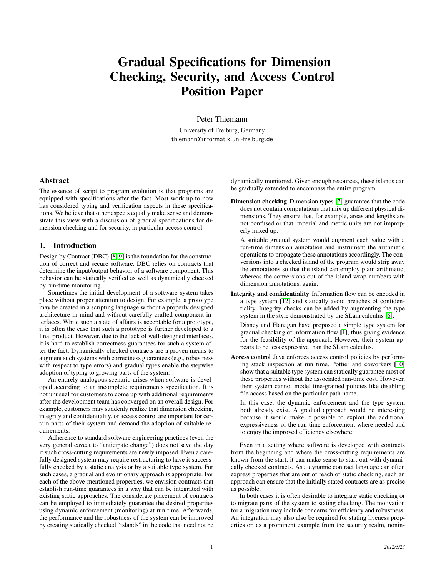# Gradual Specifications for Dimension Checking, Security, and Access Control Position Paper

Peter Thiemann

University of Freiburg, Germany thiemann@informatik.uni-freiburg.de

#### Abstract

The essence of script to program evolution is that programs are equipped with specifications after the fact. Most work up to now has considered typing and verification aspects in these specifications. We believe that other aspects equally make sense and demonstrate this view with a discussion of gradual specifications for dimension checking and for security, in particular access control.

#### 1. Introduction

Design by Contract (DBC) [\[8,](#page-1-5) [9\]](#page-1-6) is the foundation for the construction of correct and secure software. DBC relies on contracts that determine the input/output behavior of a software component. This behavior can be statically verified as well as dynamically checked by run-time monitoring.

Sometimes the initial development of a software system takes place without proper attention to design. For example, a prototype may be created in a scripting language without a properly designed architecture in mind and without carefully crafted component interfaces. While such a state of affairs is acceptable for a prototype, it is often the case that such a prototype is further developed to a final product. However, due to the lack of well-designed interfaces, it is hard to establish correctness guarantees for such a system after the fact. Dynamically checked contracts are a proven means to augment such systems with correctness guarantees (e.g., robustness with respect to type errors) and gradual types enable the stepwise adoption of typing to growing parts of the system.

An entirely analogous scenario arises when software is developed according to an incomplete requirements specification. It is not unusual for customers to come up with additional requirements after the development team has converged on an overall design. For example, customers may suddenly realize that dimension checking, integrity and confidentiality, or access control are important for certain parts of their system and demand the adoption of suitable requirements.

Adherence to standard software engineering practices (even the very general caveat to "anticipate change") does not save the day if such cross-cutting requirements are newly imposed. Even a carefully designed system may require restructuring to have it successfully checked by a static analysis or by a suitable type system. For such cases, a gradual and evolutionary approach is appropriate. For each of the above-mentioned properties, we envision contracts that establish run-time guarantees in a way that can be integrated with existing static approaches. The considerate placement of contracts can be employed to immediately guarantee the desired properties using dynamic enforcement (monitoring) at run time. Afterwards, the performance and the robustness of the system can be improved by creating statically checked "islands" in the code that need not be

dynamically monitored. Given enough resources, these islands can be gradually extended to encompass the entire program.

Dimension checking Dimension types [\[7\]](#page-1-7) guarantee that the code does not contain computations that mix up different physical dimensions. They ensure that, for example, areas and lengths are not confused or that imperial and metric units are not improperly mixed up.

A suitable gradual system would augment each value with a run-time dimension annotation and instrument the arithmetic operations to propagate these annotations accordingly. The conversions into a checked island of the program would strip away the annotations so that the island can employ plain arithmetic, whereas the conversions out of the island wrap numbers with dimension annotations, again.

Integrity and confidentiality Information flow can be encoded in a type system [\[12\]](#page-1-8) and statically avoid breaches of confidentiality. Integrity checks can be added by augmenting the type system in the style demonstrated by the SLam calculus [\[6\]](#page-1-9).

Disney and Flanagan have proposed a simple type system for gradual checking of information flow [\[1\]](#page-1-10), thus giving evidence for the feasibility of the approach. However, their system appears to be less expressive than the SLam calculus.

Access control Java enforces access control policies by performing stack inspection at run time. Pottier and coworkers [\[10\]](#page-1-11) show that a suitable type system can statically guarantee most of these properties without the associated run-time cost. However, their system cannot model fine-grained policies like disabling file access based on the particular path name.

In this case, the dynamic enforcement and the type system both already exist. A gradual approach would be interesting because it would make it possible to exploit the additional expressiveness of the run-time enforcement where needed and to enjoy the improved efficiency elsewhere.

Even in a setting where software is developed with contracts from the beginning and where the cross-cutting requirements are known from the start, it can make sense to start out with dynamically checked contracts. As a dynamic contract language can often express properties that are out of reach of static checking, such an approach can ensure that the initially stated contracts are as precise as possible.

In both cases it is often desirable to integrate static checking or to migrate parts of the system to stating checking. The motivation for a migration may include concerns for efficiency and robustness. An integration may also also be required for stating liveness properties or, as a prominent example from the security realm, nonin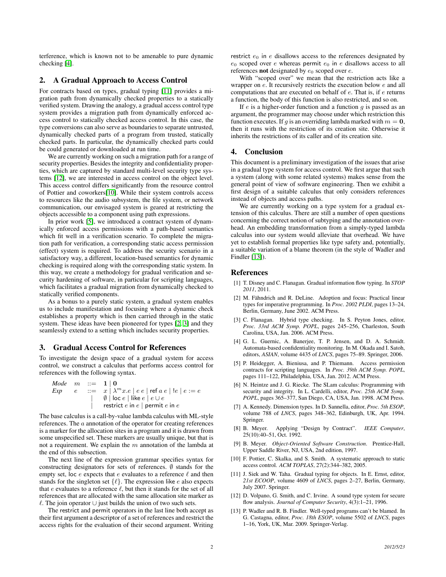terference, which is known not to be amenable to pure dynamic checking [\[4\]](#page-1-12).

#### 2. A Gradual Approach to Access Control

For contracts based on types, gradual typing [\[11\]](#page-1-13) provides a migration path from dynamically checked properties to a statically verified system. Drawing the analogy, a gradual access control type system provides a migration path from dynamically enforced access control to statically checked access control. In this case, the type conversions can also serve as boundaries to separate untrusted, dynamically checked parts of a program from trusted, statically checked parts. In particular, the dynamically checked parts could be could generated or downloaded at run time.

We are currently working on such a migration path for a range of security properties. Besides the integrity and confidentiality properties, which are captured by standard multi-level security type systems [\[12\]](#page-1-8), we are interested in access control on the object level. This access control differs significantly from the resource control of Pottier and coworkers[\[10\]](#page-1-11). While their system controls access to resources like the audio subsystem, the file system, or network communication, our envisaged system is geared at restricting the objects accessible to a component using path expressions.

In prior work [\[5\]](#page-1-14), we introduced a contract system of dynamically enforced access permissions with a path-based semantics which fit well in a verification scenario. To complete the migration path for verification, a corresponding static access permission (effect) system is required. To address the security scenario in a satisfactory way, a different, location-based semantics for dynamic checking is required along with the corresponding static system. In this way, we create a methodology for gradual verification and security hardening of software, in particular for scripting languages, which facilitates a gradual migration from dynamically checked to statically verified components.

As a bonus to a purely static system, a gradual system enables us to include manifestation and focusing where a dynamic check establishes a property which is then carried through in the static system. These ideas have been pioneered for types [\[2,](#page-1-15) [3\]](#page-1-16) and they seamlessly extend to a setting which includes security properties.

#### 3. Gradual Access Control for References

To investigate the design space of a gradual system for access control, we construct a calculus that performs access control for references with the following syntax.

| \n $\text{Mode } m ::= \begin{array}{l}\n 1 \mid 0 \\  e \quad \text{:=} \quad x \mid \lambda^m x.e \mid e \mid e \mid \text{ref } a \mid e \mid e \mid e \mid e = e \\  0 \mid \text{loc } e \mid \text{like } e \mid e \cup e \\  0 \mid \text{test } e \mid e \mid e \mid e \mid e\n \end{array}$ \n |
|---------------------------------------------------------------------------------------------------------------------------------------------------------------------------------------------------------------------------------------------------------------------------------------------------------|
|---------------------------------------------------------------------------------------------------------------------------------------------------------------------------------------------------------------------------------------------------------------------------------------------------------|

The base calculus is a call-by-value lambda calculus with ML-style references. The a annotation of the operator for creating references is a marker for the allocation sites in a program and it is drawn from some unspecified set. These markers are usually unique, but that is not a requirement. We explain the  $m$  annotation of the lambda at the end of this subsection.

The next line of the expression grammar specifies syntax for constructing designators for sets of references.  $\emptyset$  stands for the empty set, loc e expects that e evaluates to a reference  $\ell$  and then stands for the singleton set  $\{\ell\}$ . The expression like  $e$  also expects that  $e$  evaluates to a reference  $\ell$ , but then it stands for the set of all references that are allocated with the same allocation site marker as  $ℓ$ . The join operator ∪ just builds the union of two such sets.

The restrict and permit operators in the last line both accept as their first argument a descriptor of a set of references and restrict the access rights for the evaluation of their second argument. Writing restrict  $e_0$  in  $e$  disallows access to the references designated by  $e_0$  scoped over e whereas permit  $e_0$  in e disallows access to all references **not** designated by  $e_0$  scoped over  $e$ .

With "scoped over" we mean that the restriction acts like a wrapper on  $e$ . It recursively restricts the execution below  $e$  and all computations that are executed on behalf of e. That is, if e returns a function, the body of this function is also restricted, and so on.

If  $e$  is a higher-order function and a function  $g$  is passed as an argument, the programmer may choose under which restriction this function executes. If q is an overriding lambda marked with  $m = 0$ , then it runs with the restriction of its creation site. Otherwise it inherits the restrictions of its caller and of its creation site.

#### 4. Conclusion

This document is a preliminary investigation of the issues that arise in a gradual type system for access control. We first argue that such a system (along with some related systems) makes sense from the general point of view of software engineering. Then we exhibit a first design of a suitable calculus that only considers references instead of objects and access paths.

We are currently working on a type system for a gradual extension of this calculus. There are still a number of open questions concerning the correct notion of subtyping and the annotation overhead. An embedding transformation from a simply-typed lambda calculus into our system would alleviate that overhead. We have yet to establish formal properties like type safety and, potentially, a suitable variation of a blame theorem (in the style of Wadler and Findler [\[13\]](#page-1-17)).

- [1] T. Disney and C. Flanagan. Gradual information flow typing. In *STOP 2011*, 2011.
- [2] M. Fähndrich and R. DeLine. Adoption and focus: Practical linear types for imperative programming. In *Proc. 2002 PLDI*, pages 13–24, Berlin, Germany, June 2002. ACM Press.
- [3] C. Flanagan. Hybrid type checking. In S. Peyton Jones, editor, *Proc. 33rd ACM Symp. POPL*, pages 245–256, Charleston, South Carolina, USA, Jan. 2006. ACM Press.
- [4] G. L. Guernic, A. Banerjee, T. P. Jensen, and D. A. Schmidt. Automata-based confidentiality monitoring. In M. Okada and I. Satoh, editors, *ASIAN*, volume 4435 of *LNCS*, pages 75–89. Springer, 2006.
- [5] P. Heidegger, A. Bieniusa, and P. Thiemann. Access permission contracts for scripting languages. In *Proc. 39th ACM Symp. POPL*, pages 111–122, Philadelphia, USA, Jan. 2012. ACM Press.
- [6] N. Heintze and J. G. Riecke. The SLam calculus: Programming with security and integrity. In L. Cardelli, editor, *Proc. 25th ACM Symp. POPL*, pages 365–377, San Diego, CA, USA, Jan. 1998. ACM Press.
- [7] A. Kennedy. Dimension types. In D. Sannella, editor, *Proc. 5th ESOP*, volume 788 of *LNCS*, pages 348–362, Edinburgh, UK, Apr. 1994. Springer.
- [8] B. Meyer. Applying "Design by Contract". *IEEE Computer*, 25(10):40–51, Oct. 1992.
- [9] B. Meyer. *Object-Oriented Software Construction*. Prentice-Hall, Upper Saddle River, NJ, USA, 2nd edition, 1997.
- [10] F. Pottier, C. Skalka, and S. Smith. A systematic approach to static access control. *ACM TOPLAS*, 27(2):344–382, 2005.
- [11] J. Siek and W. Taha. Gradual typing for objects. In E. Ernst, editor, *21st ECOOP*, volume 4609 of *LNCS*, pages 2–27, Berlin, Germany, July 2007. Springer.
- [12] D. Volpano, G. Smith, and C. Irvine. A sound type system for secure flow analysis. *Journal of Computer Security*, 4(3):1–21, 1996.
- [13] P. Wadler and R. B. Findler. Well-typed programs can't be blamed. In G. Castagna, editor, *Proc. 18th ESOP*, volume 5502 of *LNCS*, pages 1–16, York, UK, Mar. 2009. Springer-Verlag.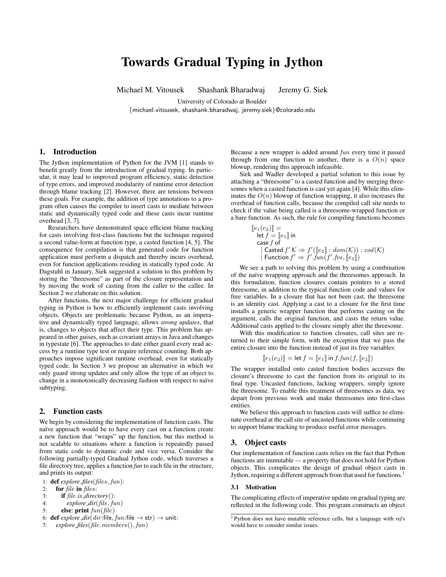# Towards Gradual Typing in Jython

Michael M. Vitousek Shashank Bharadwaj Jeremy G. Siek

University of Colorado at Boulder

{michael.vitousek, shashank.bharadwaj, jeremy.siek}@colorado.edu

### 1. Introduction

The Jython implementation of Python for the JVM [1] stands to benefit greatly from the introduction of gradual typing. In particular, it may lead to improved program efficiency, static detection of type errors, and improved modularity of runtime error detection through blame tracking [2]. However, there are tensions between these goals. For example, the addition of type annotations to a program often causes the compiler to insert casts to mediate between static and dynamically typed code and these casts incur runtime overhead [3, 7].

Researchers have demonstrated space efficient blame tracking for casts involving first-class functions but the technique required a second value-form at function type, a casted function [4, 5]. The consequence for compilation is that generated code for function application must perform a dispatch and thereby incurs overhead, even for function applications residing in statically typed code. At Dagstuhl in January, Siek suggested a solution to this problem by storing the "threesome" as part of the closure representation and by moving the work of casting from the caller to the callee. In Section 2 we elaborate on this solution.

After functions, the next major challenge for efficient gradual typing in Python is how to efficiently implement casts involving objects. Objects are problematic because Python, as an imperative and dynamically typed language, allows *strong updates*, that is, changes to objects that affect their type. This problem has appeared in other guises, such as covariant arrays in Java and changes in typestate [6]. The approaches to date either guard every read access by a runtime type test or require reference counting. Both approaches impose significant runtime overhead, even for statically typed code. In Section 3 we propose an alternative in which we only guard strong updates and only allow the type of an object to change in a monotonically decreasing fashion with respect to naïve subtyping.

#### 2. Function casts

We begin by considering the implementation of function casts. The naïve approach would be to have every cast on a function create a new function that "wraps" up the function, but this method is not scalable to situations where a function is repeatedly passed from static code to dynamic code and vice versa. Consider the following partially-typed Gradual Jython code, which traverses a file directory tree, applies a function *fun* to each file in the structure, and prints its output:

- for  $file$  in  $files$ :
- 3: if file.*is directory*():
- 4: *explore dir*(file, fun)
- 5: **else:** print  $fun(file)$
- 6: **def** *explore\_dir*( $dir$ :file,  $fun$ :file  $\rightarrow$  str)  $\rightarrow$  unit:
- 7: *explore files*(file.members(), fun)

Because a new wrapper is added around fun every time it passed through from one function to another, there is a  $O(n)$  space blowup, rendering this approach infeasible.

Siek and Wadler developed a partial solution to this issue by attaching a "threesome" to a casted function and by merging threesomes when a casted function is cast yet again [4]. While this eliminates the  $O(n)$  blowup of function wrapping, it also increases the overhead of function calls, because the compiled call site needs to check if the value being called is a threesome-wrapped function or a bare function. As such, the rule for compiling functions becomes

$$
\begin{array}{ll}\n[\![e_1(e_2)]\!] = \\
[\![e_1]\!] \text{ in} \\
\text{case } f \text{ of} \\
[\text{Casted } f' \mathcal{K} \Rightarrow f'([\![e_2]\!]: dom(\mathcal{K})) : cod(\mathcal{K}) \\
[\text{ Function } f' \Rightarrow f'.fun(f'.fvs, [\![e_2]\!])\n\end{array}
$$

We see a path to solving this problem by using a combination of the naïve wrapping approach and the threesomes approach. In this formulation, function closures contain pointers to a stored threesome, in addition to the typical function code and values for free variables. In a closure that has not been cast, the threesome is an identity cast. Applying a cast to a closure for the first time installs a generic wrapper function that performs casting on the argument, calls the original function, and casts the return value. Additional casts applied to the closure simply alter the threesome.

With this modification to function closures, call sites are returned to their simple form, with the exception that we pass the entire closure into the function instead of just its free variables:

$$
[\![e_1(e_2)]\!] = \mathsf{let}\, f = [\![e_1]\!] \mathsf{ in}\, f.\mathit{fun}(f,[\![e_2]\!])
$$

The wrapper installed onto casted function bodies accesses the closure's threesome to cast the function from its original to its final type. Uncasted functions, lacking wrappers, simply ignore the threesome. To enable this treatment of threesomes as data, we depart from previous work and make threesomes into first-class entities.

We believe this approach to function casts will suffice to eliminate overhead at the call site of uncasted functions while continuing to support blame tracking to produce useful error messages.

#### 3. Object casts

Our implementation of function casts relies on the fact that Python functions are immutable — a property that does not hold for Python objects. This complicates the design of gradual object casts in Jython, requiring a different approach from that used for functions.<sup>1</sup>

#### 3.1 Motivation

The complicating effects of imperative update on gradual typing are reflected in the following code. This program constructs an object

<sup>1:</sup> **def** *explore\_files*(*files*, *fun*):<br>2: **for** *file* **in** *files*:

<sup>1</sup> Python does not have mutable reference cells, but a language with *ref*s would have to consider similar issues.